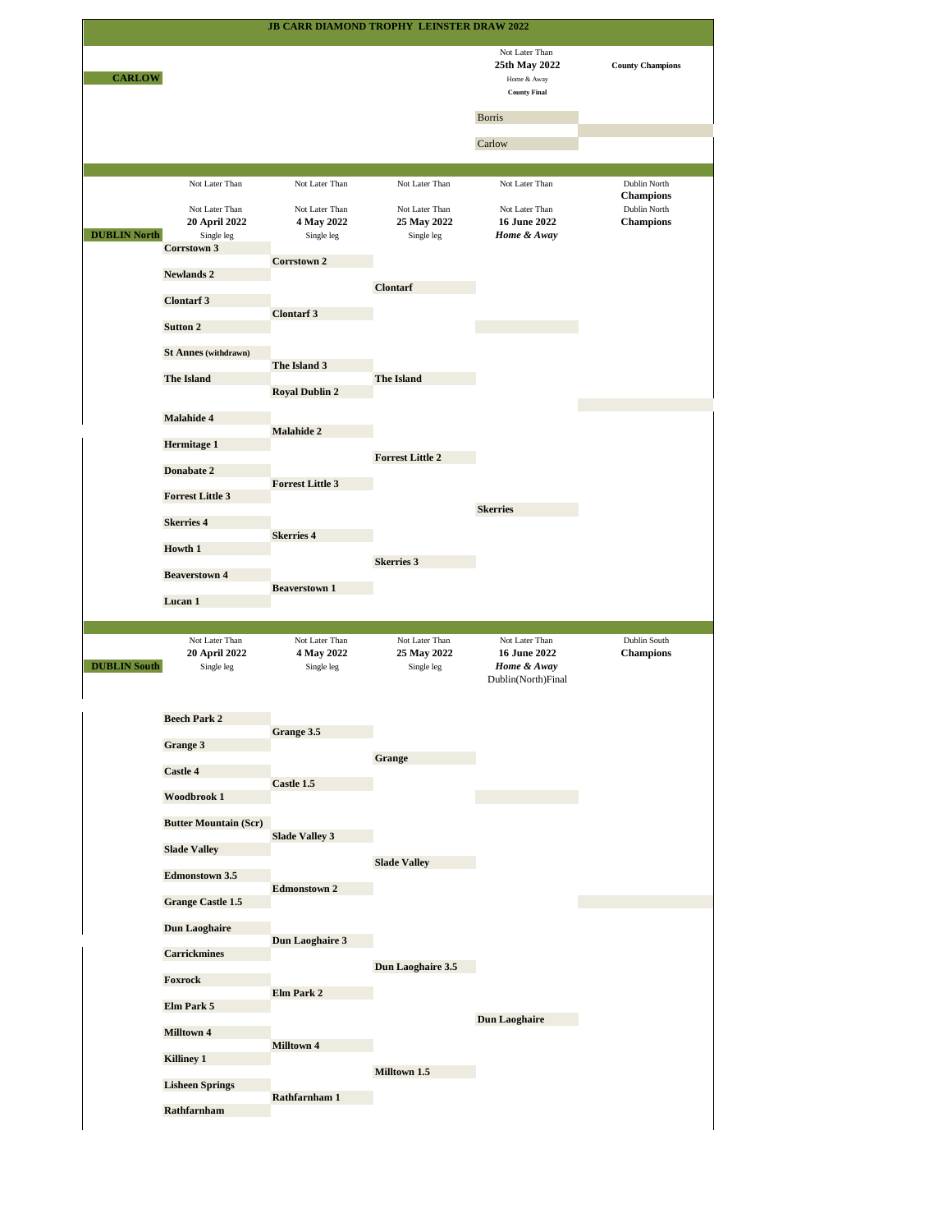|                     |                                                                                | JB CARR DIAMOND TROPHY LEINSTER DRAW 2022                    |                                                               |                                                                                                  |                                                                      |
|---------------------|--------------------------------------------------------------------------------|--------------------------------------------------------------|---------------------------------------------------------------|--------------------------------------------------------------------------------------------------|----------------------------------------------------------------------|
| <b>CARLOW</b>       |                                                                                |                                                              |                                                               | Not Later Than<br>25th May 2022<br>Home & Away<br><b>County Final</b><br><b>Borris</b><br>Carlow | <b>County Champions</b>                                              |
|                     |                                                                                |                                                              |                                                               |                                                                                                  |                                                                      |
| <b>DUBLIN North</b> | Not Later Than<br>Not Later Than<br>20 April 2022<br>Single leg<br>Corrstown 3 | Not Later Than<br>Not Later Than<br>4 May 2022<br>Single leg | Not Later Than<br>Not Later Than<br>25 May 2022<br>Single leg | Not Later Than<br>Not Later Than<br><b>16 June 2022</b><br>Home & Away                           | Dublin North<br><b>Champions</b><br>Dublin North<br><b>Champions</b> |
|                     | <b>Newlands 2</b>                                                              | Corrstown 2                                                  |                                                               |                                                                                                  |                                                                      |
|                     | <b>Clontarf 3</b>                                                              |                                                              | <b>Clontarf</b>                                               |                                                                                                  |                                                                      |
|                     |                                                                                | <b>Clontarf 3</b>                                            |                                                               |                                                                                                  |                                                                      |
|                     | Sutton 2                                                                       |                                                              |                                                               |                                                                                                  |                                                                      |
|                     | <b>St Annes (withdrawn)</b>                                                    | The Island 3                                                 |                                                               |                                                                                                  |                                                                      |
|                     | <b>The Island</b>                                                              | <b>Royal Dublin 2</b>                                        | <b>The Island</b>                                             |                                                                                                  |                                                                      |
|                     | Malahide 4                                                                     |                                                              |                                                               |                                                                                                  |                                                                      |
|                     |                                                                                | Malahide 2                                                   |                                                               |                                                                                                  |                                                                      |
|                     | <b>Hermitage 1</b>                                                             |                                                              | <b>Forrest Little 2</b>                                       |                                                                                                  |                                                                      |
|                     | Donabate 2                                                                     | <b>Forrest Little 3</b>                                      |                                                               |                                                                                                  |                                                                      |
|                     | <b>Forrest Little 3</b>                                                        |                                                              |                                                               | <b>Skerries</b>                                                                                  |                                                                      |
|                     | <b>Skerries 4</b>                                                              | <b>Skerries 4</b>                                            |                                                               |                                                                                                  |                                                                      |
|                     | <b>Howth 1</b>                                                                 |                                                              |                                                               |                                                                                                  |                                                                      |
|                     |                                                                                |                                                              |                                                               |                                                                                                  |                                                                      |
|                     | <b>Beaverstown 4</b>                                                           |                                                              | <b>Skerries 3</b>                                             |                                                                                                  |                                                                      |
|                     | Lucan 1                                                                        | <b>Beaverstown 1</b>                                         |                                                               |                                                                                                  |                                                                      |
|                     |                                                                                |                                                              |                                                               |                                                                                                  |                                                                      |
| <b>DUBLIN</b> South | Not Later Than<br>20 April 2022<br>Single leg                                  | Not Later Than<br>4 May 2022<br>Single leg                   | Not Later Than<br>25 May 2022<br>Single leg                   | Not Later Than<br><b>16 June 2022</b><br>Home & Away<br>Dublin(North)Final                       | Dublin South<br><b>Champions</b>                                     |
|                     | <b>Beech Park 2</b>                                                            |                                                              |                                                               |                                                                                                  |                                                                      |
|                     | Grange 3                                                                       | Grange 3.5                                                   |                                                               |                                                                                                  |                                                                      |
|                     |                                                                                |                                                              | Grange                                                        |                                                                                                  |                                                                      |
|                     | Castle 4                                                                       | Castle 1.5                                                   |                                                               |                                                                                                  |                                                                      |
|                     | Woodbrook 1                                                                    |                                                              |                                                               |                                                                                                  |                                                                      |
|                     | <b>Butter Mountain (Scr)</b>                                                   | <b>Slade Valley 3</b>                                        |                                                               |                                                                                                  |                                                                      |
|                     | <b>Slade Valley</b>                                                            |                                                              | <b>Slade Valley</b>                                           |                                                                                                  |                                                                      |
|                     | <b>Edmonstown 3.5</b>                                                          | <b>Edmonstown 2</b>                                          |                                                               |                                                                                                  |                                                                      |
|                     | <b>Grange Castle 1.5</b>                                                       |                                                              |                                                               |                                                                                                  |                                                                      |
|                     | <b>Dun Laoghaire</b>                                                           |                                                              |                                                               |                                                                                                  |                                                                      |
|                     | <b>Carrickmines</b>                                                            | Dun Laoghaire 3                                              |                                                               |                                                                                                  |                                                                      |
|                     | Foxrock                                                                        |                                                              | Dun Laoghaire 3.5                                             |                                                                                                  |                                                                      |
|                     | Elm Park 5                                                                     | Elm Park 2                                                   |                                                               |                                                                                                  |                                                                      |
|                     |                                                                                |                                                              |                                                               | <b>Dun Laoghaire</b>                                                                             |                                                                      |
|                     | Milltown 4                                                                     | Milltown 4                                                   |                                                               |                                                                                                  |                                                                      |
|                     | <b>Killiney 1</b>                                                              |                                                              | Milltown 1.5                                                  |                                                                                                  |                                                                      |
|                     | <b>Lisheen Springs</b><br>Rathfarnham                                          | Rathfarnham 1                                                |                                                               |                                                                                                  |                                                                      |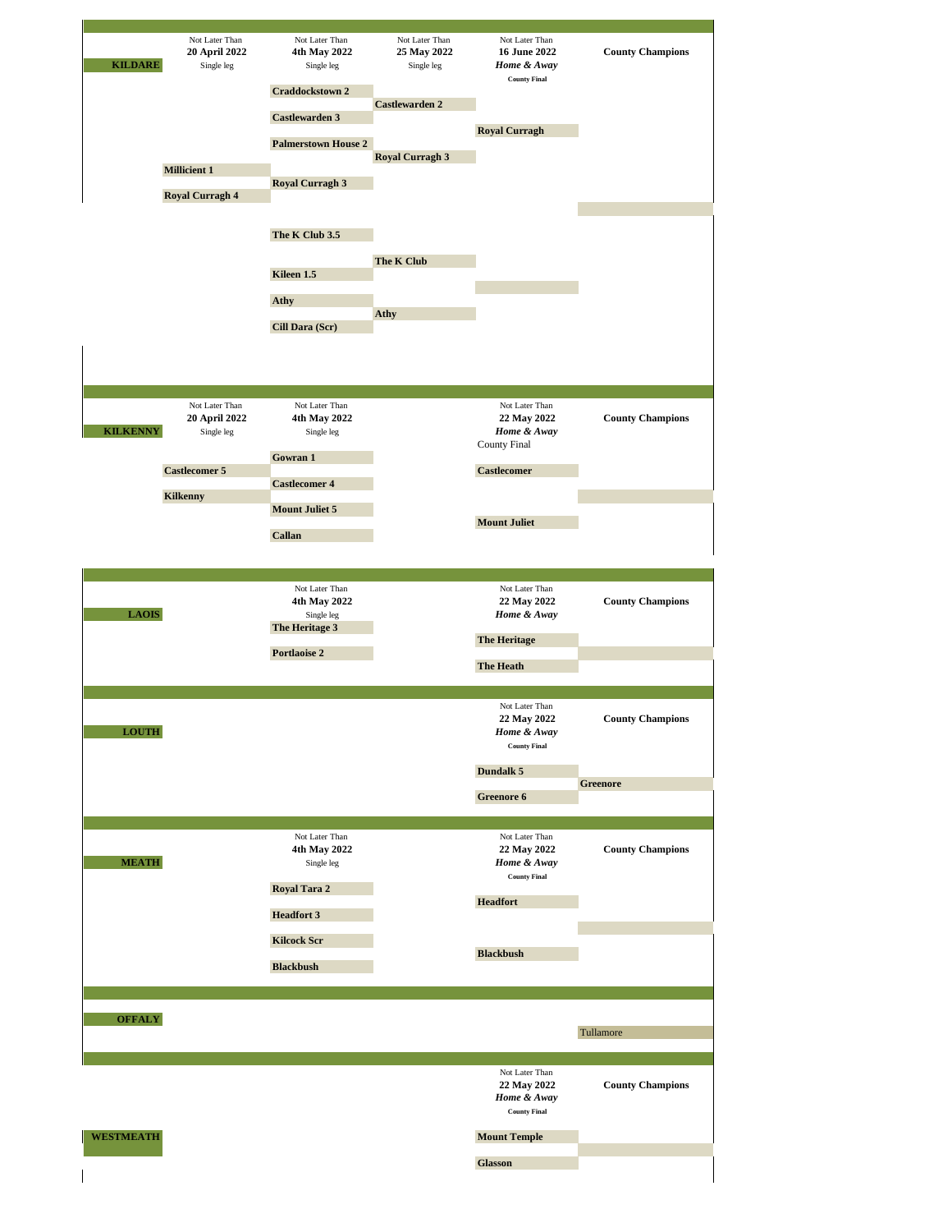| <b>KILDARE</b>                  | 20 April 2022<br>Single leg<br><b>Millicient 1</b><br><b>Royal Curragh 4</b>             | Not Later Than<br>4th May 2022<br>Single leg<br>Craddockstown 2<br>Castlewarden 3<br><b>Palmerstown House 2</b><br><b>Royal Curragh 3</b><br>The K Club 3.5<br>Kileen 1.5<br>Athy<br>Cill Dara (Scr) | Not Later Than<br>25 May 2022<br>Single leg<br><b>Castlewarden 2</b><br><b>Royal Curragh 3</b><br>The K Club<br>Athy | Not Later Than<br>16 June 2022<br>Home & Away<br><b>County Final</b><br><b>Royal Curragh</b> | <b>County Champions</b> |
|---------------------------------|------------------------------------------------------------------------------------------|------------------------------------------------------------------------------------------------------------------------------------------------------------------------------------------------------|----------------------------------------------------------------------------------------------------------------------|----------------------------------------------------------------------------------------------|-------------------------|
| <b>KILKENNY</b>                 | Not Later Than<br>20 April 2022<br>Single leg<br><b>Castlecomer 5</b><br><b>Kilkenny</b> | Not Later Than<br>4th May 2022<br>Single leg<br>Gowran 1<br><b>Castlecomer 4</b>                                                                                                                     |                                                                                                                      | Not Later Than<br>22 May 2022<br>Home & Away<br>County Final<br><b>Castlecomer</b>           | <b>County Champions</b> |
|                                 |                                                                                          | <b>Mount Juliet 5</b><br>Callan<br>Not Later Than<br>4th May 2022                                                                                                                                    |                                                                                                                      | <b>Mount Juliet</b><br>Not Later Than<br>22 May 2022                                         | <b>County Champions</b> |
| <b>LAOIS</b>                    |                                                                                          | Single leg<br>The Heritage 3<br>Portlaoise 2                                                                                                                                                         |                                                                                                                      | Home & Away<br><b>The Heritage</b><br><b>The Heath</b>                                       |                         |
|                                 |                                                                                          |                                                                                                                                                                                                      |                                                                                                                      | Not Later Than<br>22 May 2022<br>Home & Away<br><b>County Final</b>                          | <b>County Champions</b> |
| <b>LOUTH</b>                    |                                                                                          |                                                                                                                                                                                                      |                                                                                                                      | Dundalk 5                                                                                    |                         |
|                                 |                                                                                          |                                                                                                                                                                                                      |                                                                                                                      | Greenore 6                                                                                   | <b>Greenore</b>         |
|                                 |                                                                                          |                                                                                                                                                                                                      |                                                                                                                      |                                                                                              |                         |
| $\operatorname{\mathbf{MEATH}}$ |                                                                                          | Not Later Than<br>4th May 2022<br>Single leg<br>Royal Tara 2                                                                                                                                         |                                                                                                                      | Not Later Than<br>22 May 2022<br>Home & Away<br><b>County Final</b><br><b>Headfort</b>       | <b>County Champions</b> |
|                                 |                                                                                          | <b>Headfort 3</b>                                                                                                                                                                                    |                                                                                                                      |                                                                                              |                         |
|                                 |                                                                                          | <b>Kilcock Scr</b>                                                                                                                                                                                   |                                                                                                                      |                                                                                              |                         |
|                                 |                                                                                          | <b>Blackbush</b>                                                                                                                                                                                     |                                                                                                                      | <b>Blackbush</b>                                                                             |                         |
|                                 |                                                                                          |                                                                                                                                                                                                      |                                                                                                                      |                                                                                              |                         |
| <b>OFFALY</b>                   |                                                                                          |                                                                                                                                                                                                      |                                                                                                                      |                                                                                              | Tullamore               |
|                                 |                                                                                          |                                                                                                                                                                                                      |                                                                                                                      |                                                                                              |                         |
| <b>WESTMEATH</b>                |                                                                                          |                                                                                                                                                                                                      |                                                                                                                      | Not Later Than<br>22 May 2022<br>Home & Away<br><b>County Final</b><br><b>Mount Temple</b>   | <b>County Champions</b> |
|                                 |                                                                                          |                                                                                                                                                                                                      |                                                                                                                      | <b>Glasson</b>                                                                               |                         |